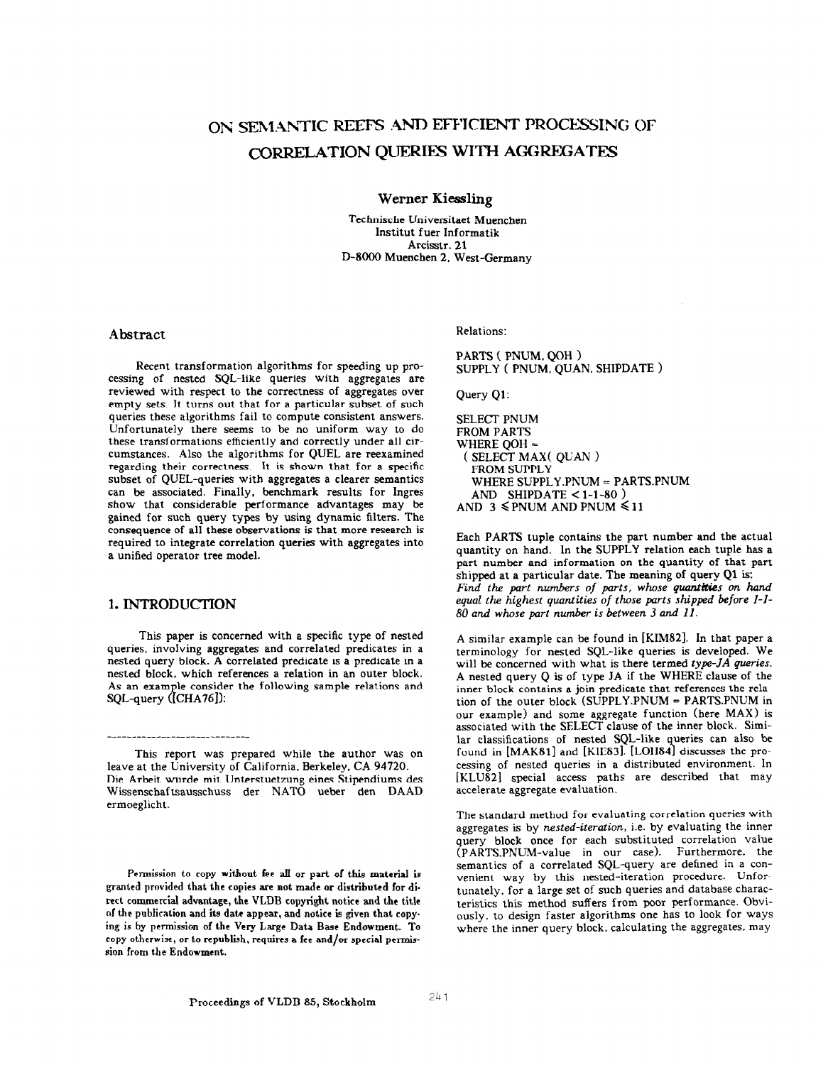# ON SEMANTIC REEFS AND EFFICIENT PROCESSING OF CORRELATION QUERIES WITH AGGREGATES

Werner Kiessling

Technische Universitaet Muenchen Jnstitut fuer Jnformatik Arcisstr. 21 D-8000 Muenchen 2. West-Germany

# Abstract

Recent transformation algorithms for speeding up processing of nested SQL-like queries with aggregates are reviewed with respect to the correctness of aggregates over empty sets. It turns out that for a particular subset of such queries these algorithms fail to compute consistent answers. Unfortunately there seems to be no uniform way to do these transformations efficiently and correctly under all circumstances. Also the algorithms for QUEL are reexamined regarding their correctness. It is shown that for a specific subset of QUEL-queries with aggregates a clearer semantics can be associated. Finally, benchmark results for lngres show that considerable performance advantages may be gained for such query types by using dynamic filters. The consequence of all these observations is that more research is required to integrate correlation queries with aggregates into a unified operator tree model.

# 1. INTRODUCTION

-----*--*---------------------

This paper is concerned with a specific type of nested queries. involving aggregates and correlated predicates in a nested query block. A correlated predicate is a predicate in a nested block, which references a relation in an outer block. As an example consider the following sample relations and SQL-query ([CHA76]):

This report was prepared while the author was on leave at the University of California, Berkeley, CA 94720. Die Arbeit wurde mit Unterstuetzung eines Stipendiums des Wissenschaftsausschuss der NATO ueber den DAAD ermoeglicht.

Permission to copy without fee aIl or part of this material is granted provided that the copies are not made or distributed for direct commercial advantage, the VLDB copyright notice and the title of the publication and its date appear, and notice is given that copy. ing is by permission of the Very Large Data Base Endowment. To copy otherwise, or to republish, requires a fee and/or special permiseion from the Endowment.

### Relations:

PARTS ( PNUM. QOH ) SUPPLY ( PNUM. QUAN. SHIPDATE >

Query Ql:

SELECT PNUM FROM PARTS WHERE OOH = ( SELECT MAX( QUAN ) FROM SUPPLY WHERE SUPPLY .PNUM = PARTS.PNUM AND SHIPDATE  $<$  1-1-80 ) AND 3  $\leq$  PNUM AND PNUM  $\leq$  11

Each PARTS tuple contains the part number and the actual quantity on hand. In the SUPPLY relation each tuple has a part number and information on the quantity of that part shipped at a particular date. The meaning of query Ql is: Find the part numbers of parts, whose quantities on hand equal the highest quantities of those parts shipped before l-l-80 and whose part number is between 3 and II.

A similar example can be found in [KIM82]. In that paper a terminology for nested SQL-like queries is developed. We will be concerned with what is there termed type-JA queries. A nested query Q is of type JA if the WHERE clause of the inner block contains a join predicate that references the relation of the outer block  $(SUPPLY.PNUM = PARTS.PNUM in$ our example) and some aggregate function (here MAX) is associated with the SELECT clause of the inner block. Similar classifications of nested SQL-like queries can also be found in [MAK81] and [KIE83]. [LOH84] discusses the processing of nested queries in a distributed environment. In [KLU82] special access paths are described that may accelerate aggregate evaluation.

The standard method for evaluating correlation queries with aggregates is by nested-iteration, i.e. by evaluating the inner query block once for each substituted correlation value (PARTSPNUM-value in our case). Furthermore. the semantics of a correlated SQL-query are defined in a convenient way by this nested-iteration procedure. Unfortunately, for a large set of such queries and database characteristics this method suffers from poor performance. Obviously, to design faster algorithms one has to look for ways where the inner query block, calculating the aggregates. may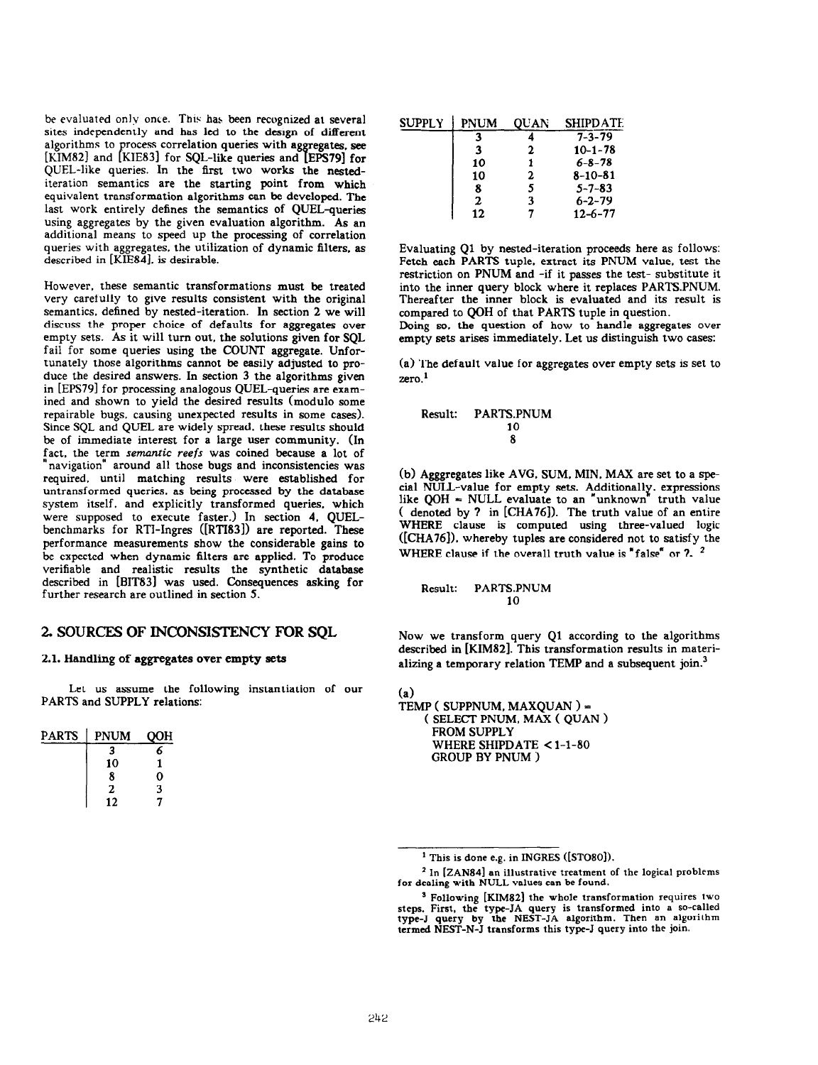be evaluated only once. This has been recognized at several sites independently and has led to the design of different algorithms to process correlation queries with aggregates, see [KIM82] and [KIE83] for SQL-like queries and [EPS79] for QUEL-like queries. In the first two works the nestediteration semantics are the starting point from which equivalent transformation algorithms can be developed. The last work entirely defines the semantics of QUEL-queries using aggregates by the given evaluation algorithm. As an additional means to speed up the processing of correlation queries with aggregates. the utilization of dynamic filters, as described in [KIE84]. is desirable.

However, these semantic transformations must be treated very carefully to give results consistent with the original semantics. defined by nested-iteration. In section 2 we will discuss the proper choice of defaults for aggregates over empty sets. As it will turn out, the solutions given for SQL fail for some queries using the COUNT aggregate. Unfortunately those algorithms cannot be easily adjusted to produce the desired answers. In section 3 the algorithms given in [EPS79] for processing analogous QUEL-queries are examined and shown to yield the desired results (module some repairable bugs. causing unexpected results in some cases). Since SQL and QUEL are widely spread. these results should be of immediate interest for a large user community. (In fact, the term semantic reefs was coined because a lot of 'navigation" around all those bugs and inconsistencies was required. until matching results were established for untransformed queries, as being processed by the database system itself, and explicitly transformed queries. which were supposed to execute faster.) In section 4, QUELbenchmarks for RTI-Ingres ([RTI83]) are reported. These performance measurements show the considerable gains to be expected when dynamic filters are applied. To produce verifiable and realistic results the synthetic database described in [BIT831 was used. Consequences asking for further research are outlined in section 5.

### 2. SOURCES OF INCONSISTENCY FOR SOL

#### 2.1. Handling of aggregates over empty sets

Let us assume the following instantiation of our PARTS and SUPPLY relations:

| <b>PARTS</b> | <b>PNUM</b> | OOH |
|--------------|-------------|-----|
|              | 3           | 6   |
|              | 10          |     |
|              | 8           | 0   |
|              | 2           | 3   |
|              | 12          |     |

| <b>SUPPLY</b> | <b>PNUM</b> | <b>OUAN</b> | <b>SHIPDATE</b> |
|---------------|-------------|-------------|-----------------|
|               | з           |             | $7 - 3 - 79$    |
|               | 3           | 2           | $10 - 1 - 78$   |
|               | 10          |             | $6 - 8 - 78$    |
|               | 10          | 2           | $8 - 10 - 81$   |
|               | 8           | 5           | $5 - 7 - 83$    |
|               | 2           | 3           | $6 - 2 - 79$    |
|               | 12          |             | $12 - 6 - 77$   |

Evaluating Ql by nested-iteration proceeds here as follows: Fetch each PARTS tuple. extract its PNUM value, test the restriction on PNUM and -if it passes the test- substitute it into the inner query block where it replaces PARTS.PNUM. Thereafter the inner block is evaluated and its result is compared to QOH of that PARTS tuple in question.

Doing so, the question of how to handle aggregates over empty sets arises immediately. Let us distinguish two cases:

(a) The default value for aggregates over empty sets is set to  $zero.<sup>1</sup>$ 

#### Result: PARTS.PNUM 10 8

(b) Agggregates like AVG. SUM. MIN. MAX are set to a special NULL-value for empty sets. Additionally. expressions like  $QOH = NULL$  evaluate to an "unknown" truth value ( denoted by 7 in [CHA76]). The truth value of an entire WHERE clause is computed using three-valued logic ([CHA76]). whereby tuples are considered not to satisfy the WHERE clause if the overall truth value is "false" or 7. <sup>2</sup>

Result: PARTS.PNUM 10

Now we transform query Ql according to the algorithms described in [KIMSZ]. This transformation results in materializing a temporary relation TEMP and a subsequent join.<sup>3</sup>

(a)

TEMP ( SUPPNUM. MAXQUAN ) = ( SELECT PNUM. MAX ( QUAN > FROM SUPPLY WHERE SHIPDATE < 1-1-80 GROUP BY PNUM )

 $<sup>1</sup>$  This is done e.g. in INGRES ([STO80]).</sup>

<sup>&</sup>lt;sup>2</sup> In [ZAN84] an illustrative treatment of the logical problems for dealing with NULL values can be found.

<sup>&</sup>lt;sup>3</sup> Following [KIM82] the whole transformation requires two steps. First, the type-JA query is transformed into a so-called type-J query by the NEST-JA algorithm. Then an algorithm termed NEST-N-J transforms this type-J query into the join.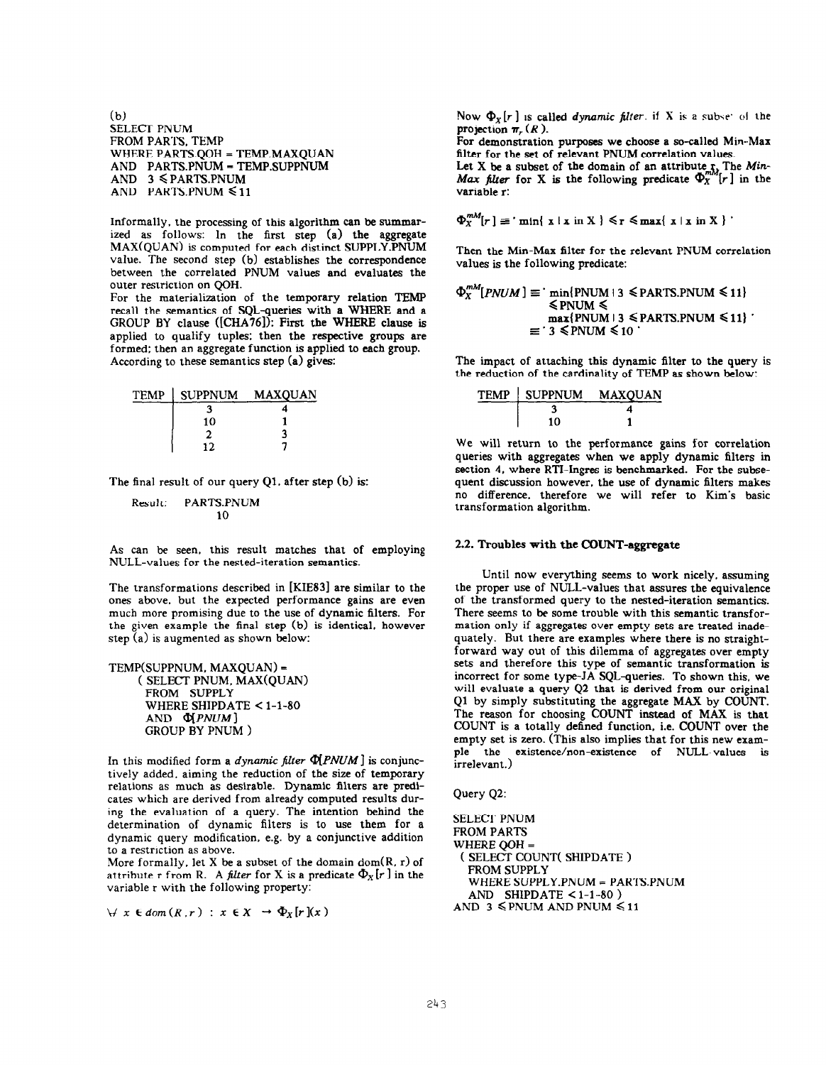$(b)$ SELECT PNUM FROM PARTS, TEMP WHERE PARTS.QOH = TEMP.MAXQUAN AND PARTS.PNUM = TEMP.SUPPNUM AND  $3 \leq$  PARTS. PNUM AND PARTS.PNUM < 11

Informally, the processing of this algorithm can be summarized as follows: In the first step (a) the aggregate MAX(QUAN) is computed for each distinct SUPPLY.PNUM value. The second step (b) establishes the correspondence between the correlated PNUM values and evaluates the outer restriction on QOH. For the materialization of the temporary relation TEMP

recall the semantics of SQL-queries with a WHERE and a GROUP BY clause ([CHA76]): First the WHERE clause is applied to qualify tuples: then the respective groups are formed: then an aggregate function is applied to each group. According to these semantics step  $(a)$  gives:

|  | TEMP SUPPNUM | <b>MAXQUAN</b> |  |
|--|--------------|----------------|--|
|  |              |                |  |
|  | 10           |                |  |
|  |              |                |  |
|  | າາ           |                |  |

The final result of our query Q1. after step (b) is:

Result: PARTS.PNUM 10

As can be seen, this result matches that of employing NULL-values for the nested-iteration semantics.

The transformations described in [KIE83] are similar to the ones above. but the expected performance gains are even much more promising due to the use of dynamic filters. For the given example the final step (b) is identical, however step (a) is augmented as shown below:

TEMP(SUPPNUM. MAXQUAN) = ( SELECT PNUM, MAX(QUAN) FROM SUPPLY WHERE SHIPDATE  $<$  1-1-80  $AND \Phi$ *PNUM*] GROUP BY PNUM >

In this modified form a dynamic filter  $\Phi$ [PNUM] is conjunctively added. aiming the reduction of the size of temporary relations as much as desirable. Dynamic filters are predicates which are derived from already computed results during the evaluation of a query. The intention behind the determination of dynamic filters is to use them for a dynamic query modification, e.g. by a conjunctive addition to a restriction as above.

More formally, let X be a subset of the domain dom( $R$ ,  $r$ ) of attribute r from R. A filter for X is a predicate  $\Phi_X[r]$  in the variable r with the following property:

 $\forall x \in dom(R,r) : x \in X \rightarrow \Phi_X[r](x)$ 

Now  $\Phi_X[r]$  is called *dynamic filter*. if X is a subset of the projection  $\pi_r(R)$ .

For demonstration purposes we choose a so-called Min-Max filter for the set of relevant PNUM correlation values.

Let X be a subset of the domain of an attribute  $\int_{m}$ . The Min-Max filter for X is the following predicate  $\Phi_{X}^{m,q}[r]$  in the variable r:

 $\Phi_X^{mM}[r] \equiv \min\{x \mid x \in X\} \leq r \leq \max\{x \mid x \in X\}$ 

Then the Min-Max filter for the relevant PNUM correlation values is the following predicate:

$$
\Phi_X^{mm}[PNUM] \equiv \min\{PNUM \mid 3 \leq PARTS.PNUM \leq 11\}
$$
  
\n
$$
\leq PNUM \leq
$$
  
\n
$$
\max\{PNUM \mid 3 \leq PARTS.PNUM \leq 11\}
$$
  
\n
$$
\equiv 3 \leq PNUM \leq 10
$$

The impact of attaching this dynamic filter to the query is the reduction of the cardinality of TEMP as shown below:

| TEMP   SUPPNUM | MAXOUAN |
|----------------|---------|
|                |         |
| 10             |         |

We will return to the performance gains for correlation queries with aggregates when we apply dynamic filters in section 4, where RTI-Ingres is benchmarked. For the subsequent discussion however, the use of dynamic filters makes no difference. therefore we will refer to Kim's basic transformation algorithm.

#### 2.2. Troubles with the COUNT-aggregate

Until now everything seems to work nicely. assuming the proper use of NULL-values that assures the equivalence of the transformed query to the nested-iteration semantics. There seems to be some trouble with this semantic transformation only if aggregates over empty sets are treated inadequately. But there are examples where there is no straightforward way out of this dilemma of aggregates over empty sets and therefore this type of semantic transformation is incorrect for some type-JA SQL-queries. To shown this, we will evaluate a query Q2 that is derived from our original Ql by simply substituting the aggregate MAX by COUNT. The reason for choosing COUNT instead of MAX is that COUNT is a totally defined function. i.e. COUNT over the empty set is zero. (This also implies that for this new example the existence/non-existence of NULL-values is irrelevant.)

Query Q2:

SELECT PNUM FROM PARTS WHERE QOH = ( SELECT COUNT( SHlPDATE ) FROM SUPPLY WHERE SUPPLY.PNUM = PARTS.PNUM AND SHIPDATE  $<$  1-1-80) AND 3  $\leq$  PNUM AND PNUM  $\leq$  11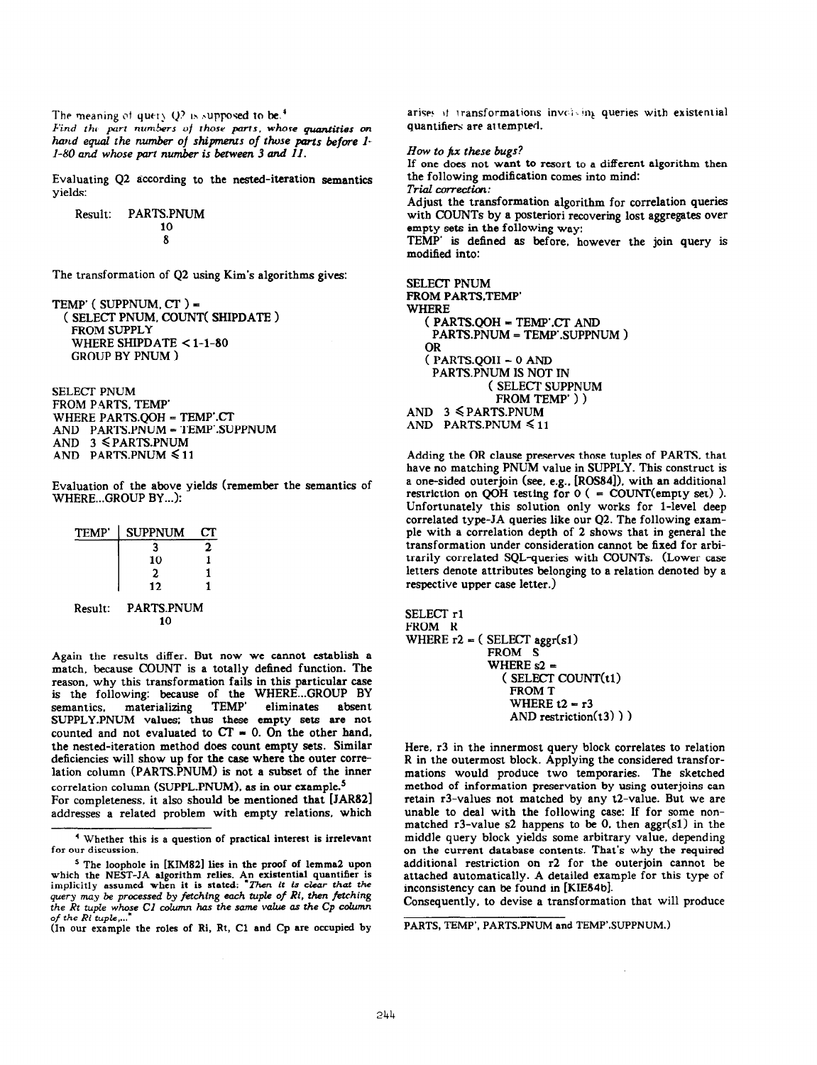The meaning of query  $Q^2$  is supposed to be.<sup>4</sup> Find the part numbers of those parts, whose quantities on<br>hand equal the number of shipments of those parts before ll-80 and whose part number is between 3 and Il.

Evaluating 42 according to the nested-iteration semantics yields:

Result: PARTS.PNUM 10 8

The transformation of Q2 using Kim's algorithms gives:

```
Temp' ( SUPPNUM, CT ) =
 ( SELECT PNUM, COUNT( SHIPDATE > 
  FROM SUPPLY 
   WHERE SHIPDATE < 1-1-80
  GROUP BY PNUM )
```
SELECT PNUM FROM PARTS. TEMP' WHERE PARTS.QOH = TEMP'.CT AND PARTS.PNUM = TEMP'.SUPPNUM AND  $3 \leq$  PARTS. PNUM AND PARTS.PNUM < 11

Evaluation of the above yields (remember the semantics of WHERE...GROUP BY...):

| TEMP' | <b>SUPPNUM</b> | CF. |
|-------|----------------|-----|
|       |                | 2   |
|       | 10             |     |
|       | 2              |     |
|       | 12             |     |

Result: PARTS.PNUM 10

Again the results differ. But now we cannot establish a match. because COUNT is a totally defined function. The reason, why this transformation fails in this particular case is the following: because of the WHERE...GROUP BY<br>semantics. materializing TEMP' eliminates absent semantics. materializing TEMP' eliminates absent SUPPLY.PNUM values: thus these empty sets are not counted and not evaluated to  $CT = 0$ . On the other hand. the nested-iteration method does count empty sets. Similar deficiencies will show up for the case where the outer correlation column (PARTS.PNUM) is not a subset of the inner correlation column (SUPPL.PNUM), as in our example.<sup>5</sup> For completeness. it also should be mentioned that [JAR82] addresses a related problem with empty relations. which

(In our example the roles of Ri, Rt, Cl and Cp are occupied by

arises it transformations involving queries with existential quantifiers are attempted.

How to  $\hbar x$  these bugs? If one does not want to resort to a different algorithm then the following modification comes into mind: Trial correction: Adjust the transformation algorithm for correlation queries with COUNTS by a posteriori recovering lost aggregates over empty sets in the following way: TEMP' is defined as before, however the join query is modified into:

```
SELECT PNUM 
FROM PARTS.TEMP'
WHERE
  ( PARTSQOH = TEMP'CT AND 
   PARTS.PNUM = TEMP'.SUPPNUM)
  OR 
  (PARTS.QOH = 0 ANDPARTS. PNUM IS NOT IN
            ( SELECT SUPPNUM 
             FROM TEMP' ) )
AND 3 \leq PARTS.PNUM
AND PARTS.PNUM < 11
```
Adding the OR clause preserves those tuples of PARTS, that have no matching PNUM value in SUPPLY. This construct is a one-sided outerjoin (see, e.g., [ROS84]), with an additional restriction on QOH testing for  $0$  ( = COUNT(empty set) ). Unfortunately this solution only works for l-level deep correlated type-JA queries like our Q2. The following example with a correlation depth of 2 shows that in general the transformation under consideration cannot be fixed for arbitrarily correlated SQL-queries with COUNTS. (Lower case letters denote attributes belonging to a relation denoted by a respective upper case letter.)

SELECT rl FROM R WHERE  $r2 = (SELECT \,ager(s1))$ FROM S WHERE  $s2 =$ ( SELECT COUNT(t1) FROM T WHERE  $t2 = r3$ AND restriction $(13)$ )

Here, r3 in the innermost query block correlates to relation R in the outermost block. Applying the considered transformations would produce two temporaries. The sketched method of information preservation by using outerjoins can retain r3-values not matched by any t2-value. But we are unable to deal with the following case: If for some nonmatched  $r3$ -value s2 happens to be 0. then aggr(s1) in the middle query block yields some arbitrary value. depending on the current database contents. That's why the required additional restriction on r2 for the outerjoin cannot be attached automatically. A detailed example for this type of inconsistency can be found in [KIE84b].

Consequently, to devise a transformation that will produce

PARTS, TEMP', PARTS.PNUM and TEMP'.SUPPNUM.)

<sup>&#</sup>x27; Whether this is a question of practical interest is irrelevant for our discussion.

<sup>&</sup>lt;sup>5</sup> The loophole in [KIM82] lies in the proof of lemma2 upon which the NEST-JA algorithm relies. An existential quantifier is<br>implicitly assumed when it is stated: "Then it is clear that the query may be processed by fetching each tuple of Ri, then fetching the Rt tuple whose C1 column has the same value as the Cp column of the  $Ri$  tuple,...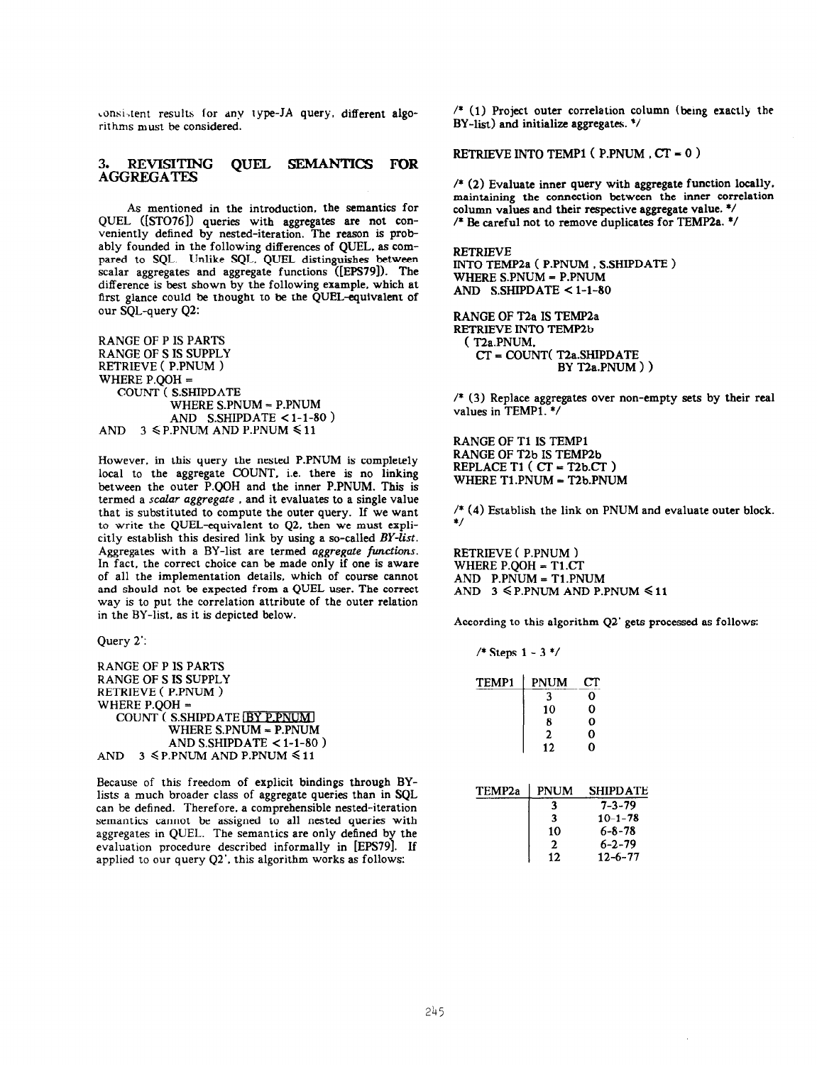consistent results for any type-JA query. different algorithms must be considered.

#### $3.$ REVISITING OUEL SEMANTICS FOR **AGGREGATES**

As mentioned in the introduction, the semantics for QUEL ([STO76]) queries with aggregates are not conveniently defined by nested-iteration. The reason is probably founded in the following differences of QUEL. as compared to SQL. Unlike SQL. QUEL distinguishes between scalar aggregates and aggregate functions ([EPS79]). The difference is best shown by the following example, which at first glance could be thought to be the QUEL-equivalent of our SQL-query Q2:

RANGE OF P IS PARTS RANGE OF S IS SUPPLY RETRIEVE ( P.PNUM ) WHERE P.QOH = COUNT ( S.SHIPDATE WHERE S.PNUM = P.PNUM AND S.SHIPDATE  $<$  1-1-80 ) AND  $3 \leq P.PNUM AND P.PNUM \leq 11$ 

However, in this query the nested P.PNUM is completely local to the aggregate COUNT, i.e. there is no linking between the outer P.QOH and the inner P.PNUM. This is termed a scalar aggregate , and it evaluates to a single value that is substituted to compute the outer query. If we want to write the QUEL-equivalent to Q2. then we must explicitly establish this desired link by using a so-called BY-list. Aggregates with a BY-list are termed aggregate functions. In fact, the correct choice can be made only if one is aware of all the implementation details, which of course cannot and should not be expected from a QUEL user. The correct way is to put the correlation attribute of the outer relation in the BY-list, as it is depicted below.

Query 2':

RANGE OF P IS PARTS RANGE OF S IS SUPPLY RETRIEVE ( P.PNUM ) WHERE P.QOH = COUNT (S.SHIPDATE **BY P.PNUM** WHERE SPNUM = P.PNUM AND S.SHIPDATE  $<$  1-1-80) AND  $3 \leq P.PNUM AND P.PNUM \leq 11$ 

Because of this freedom of explicit bindings through BYlists a much broader class of aggregate queries than in SQL can be defined. Therefore. a comprehensible nested-iteration semantics cannot be assigned to all nested queries with aggregates in QUEL. The semantics are only defined by the evaluation procedure described informally in [EPS79]. If applied to our query Q2'. this algorithm works as follows:

/\* (1) Project outer correlation column (bemg exactly the BY-list) and initialize aggregates. \*/

RETRIEVE INTO TEMPl ( P.PNUM . CT = 0 )

/\* (2) Evaluate inner query with aggregate function locally. maintaining the connection between the inner correlation column values and their respective aggregate value. \*/ /\* Be careful not to remove duplicates for TEMP2a. \*/

RETRIEVE INTO TEMP2a ( P.PNUM , S.SHIPDATE ) WHERE S.PNUM = P.PNUM AND S.SHIPDATE  $< 1-1-80$ 

RANGE OF T2a IS TEMP2a RETRIEVE INTO TEMP2b ( T2a.PNUM. CT = COUNT( T2a.SHIPDATE BY T2a.PNUM ) )

/\* (3) Replace aggregates over non-empty sets by their real values in TEMPl. \*/

RANGE OF T1 IS TEMP1 RANGE OF T2b IS TEMP2b REPLACE Tl ( CT = T2b.CT > WHERE Tl.PNUM = T2b.PNUM

/\* (4) Establish the link on PNUM and evaluate outer block. \*/

RETRIEVE ( P.PNUM ) WHERE P.QOH = T1.CT AND P.PNUM = Tl.PNUM AND  $3 \leq$  P.PNUM AND P.PNUM  $\leq 11$ 

According to this algorithm Q2' gets processed as follows:

/\* Steps 1 - 3 \*/

| <b>TEMP1</b> | <b>PNUM</b>    | CТ |
|--------------|----------------|----|
|              | ٦              | Ω  |
|              | 10             | 0  |
|              | 8              | 0  |
|              | $\overline{2}$ | 0  |
|              | 12             | 0  |
|              |                |    |

| TEMP <sub>2a</sub> | <b>PNUM</b>  | <b>SHIPDATE</b> |
|--------------------|--------------|-----------------|
|                    | 3            | $7 - 3 - 79$    |
|                    | 3            | $10 - 1 - 78$   |
|                    | 10           | $6 - 8 - 78$    |
|                    | $\mathbf{2}$ | $6 - 2 - 79$    |
|                    | 12           | $12 - 6 - 77$   |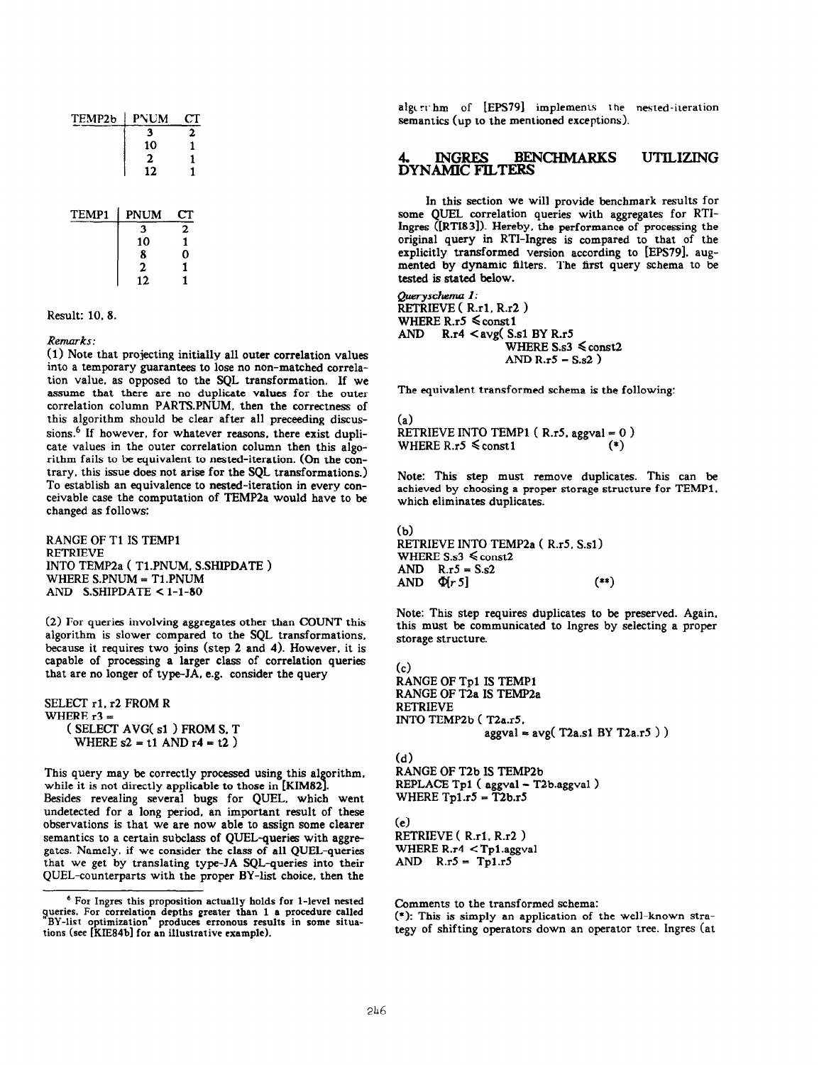| TEMP2b | PNUM         | СT             |
|--------|--------------|----------------|
|        | 3            | 2              |
|        | 10           | 1              |
|        | $\mathbf{2}$ | 1              |
|        | 12           | 1              |
| TEMP1  | <b>PNUM</b>  | ${\rm cr}$     |
|        | 3            | $\overline{2}$ |
|        | 10           | 1              |
|        | 8            | n              |

 $\overline{2}$ 

 $\mathbf{1}$ 

Result: 10, 8.

#### Remarks:

(1) Note that projecting initially all outer correlation values into a temporary guarantees to lose no non-matched correlation value, as opposed to the SQL transformation. If we assume that there are no duplicate values for the outer correlation column PARTS.PNUM, then the correctness of this algorithm should be clear after all preceeding discussions.<sup>6</sup> If however, for whatever reasons, there exist duplicate values in the outer correlation column then this algorithm fails to be equivalent to nested-iteration. (On the contrary, this issue does not arise for the SQL transformations.) To establish an equivalence to nested-iteration in every conceivable case the computation of TEMP2a would have to be changed as follows:

RANGE OF T1 IS TEMP1 RETRIEVE INTO TEMP2a ( Tl.PNUM. SSHIPDATE ) WHERE S.PNUM = T1.PNUM AND S.SHIPDATE  $<$  1-1-80

(2) For queries involving aggregates other than COUNT this algorithm is slower compared to the SQL transformations, because it requires two joins (step 2 and 4). However, it is capable of processing a larger class of correlation queries that are no longer of type-JA. e.g. consider the query

SELECT rl. r2 FROM R WHERE r3 = ( SELECT AVG( s1 ) FROM S. T WHERE  $s2 = t1$  AND  $r4 = t2$ )

This query may be correctly processed using this algorithm. while it is not directly applicable to those in [KIM82].

Besides revealing several bugs for QUEL. which went undetected for a long period, an important result of these observations is that we are now able to assign some clearer semantics to a certain subclass of QUEL-queries with aggregates. Namely. if we consider the class of all QUEL-queries that we get by translating type-JA SQL-queries into their QUEL-counterparts with the proper BY-list choice, then the

algcrithm of [EPS79] implements the nested-iteration semantics (up to the mentioned exceptions).

#### **BENCHMARKS INGRES UTILIZING DYNAMIC FILTERS**

In this section we will provide benchmark results for some QUEL correlation queries with aggregates for RTI-Ingres ([RTI831). Hereby. the performance of processing the original query in RTI-Ingres is compared to that of the explicitly transformed version according to [EPS79]. augmented by dynamic filters. The first query schema to be tested is stated below.

Queryschema 1:  $\overline{\text{RETRIEVE}}$  (R.r1, R.r2) WHERE R.r5  $\leq$  const1 AND  $R.r4 < avg(S.s1 BY R.r5$ WHERE  $S_{.53} \leq \text{const2}$ AND  $R.r5 - S.s2$ )

The equivalent transformed schema is the following:

(a) RETRIEVE INTO TEMP1 ( $R.r5.$  aggval = 0) WHERE R.r5  $\leq$  const1 (\*)

Note: This step must remove duplicates. This can be achieved by choosing a proper storage structure for TEMPl. which eliminates duplicates.

(b) RETRIEVE INTO TEMP2a ( R.r5. S.sl) WHERE  $S_s3 \leq \text{const2}$ AND  $R.r5 = S.s2$  $AND \Phi[r5]$  (\*\*)

Note: This step requires duplicates to be preserved. Again. this must be communicated to Ingres by selecting a proper storage structure.

 $(c)$ RANGE OF Tpl IS TEMPl RANGE OF T2a IS TEMP2a RETRIEVE INTO TEMP2b ( T2a.r5.  $aggval = avg(T2a.s1 BY T2a.r5)$ )

(d) RANGE OF T2b IS TEMP2b REPLACE Tpl ( aggval = T2b.aggval) WHERE  $Tp1.r5 = T2b.r5$ 

(e) RETRIEVE (R.r1, R.r2)

WHERE R.r4 < Tpl.aggval AND  $R.r5 = Tp1.r5$ 

Comments to the transformed schema:

(\*): This is simply an application of the well-known strategy of shifting operators down an operator tree. Ingres (at

<sup>6</sup> For Ingres this proposition actually holds for l-level nested queries. For correlation depths greater than 1 a procedure called BY-list optimization" produces erronous results in some situations (see [KIE84b] for an illustrative example).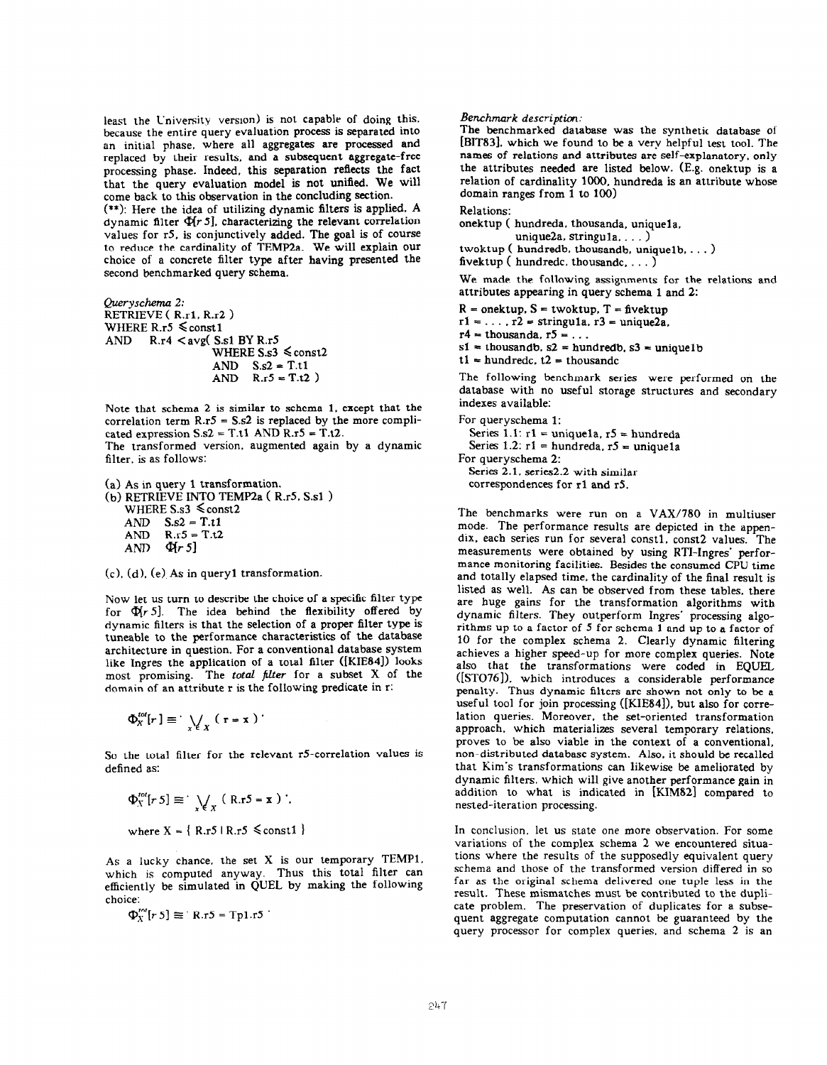least the Cniversity version) is not capable of doing this. because the entire query evaluation process is separated into an initial phase, where all aggregates are processed and replaced by their results, and a subsequent aggregate-free processing phase. Indeed, this separation reflects the fact that the query evaluation model is not unified. We will come back to this observation in the concluding section.

(\*\*): Here the idea of utilizing dynamic filters is applied. A dynamic filter  $\Phi$ [ $r$  5], characterizing the relevant correlation values for r5, is conjunctively added. The goal is of course to reduce the cardinality of TEMP2a. We will explain our choice of a concrete filter type after having presented the second benchmarked query schema.

Queryschema 2: RETRIEVE ( R.rl. R.r2 ) WHERE R.r5  $\leq$  const1 AND  $R.r4 < avg(S.s1 BY R.r5)$ WHERE  $S_s3 \leq \text{const2}$ AND  $S.s2 = T.t1$ <br>AND  $R.r5 = T.t2$  $R.r5 = T.t2$ )

Note that schema 2 is similar to schema 1. except that the correlation term  $R.r5 = S.s2$  is replaced by the more complicated expression  $S.s2 = T.t1$  AND  $R.r5 = T.t2$ .

The transformed version. augmented again by a dynamic filter. is as follows:

(a) As in query 1 transformation. (b) RETRIEVE INTO TEMP2a ( R.r5. S.sl > WHERE  $S.s3 \leq const2$ AND  $S.s2 = T.t1$ <br>AND  $R.r5 = T.t2$ AND  $R.r5 = T.t2$ <br>AND  $\Phi(r 5)$  $\Phi$ r 51

 $(c)$ ,  $(d)$ ,  $(e)$  As in query1 transformation.

Now let us turn to describe the choice of a specific filter type for  $\Phi$ r 5]. The idea behind the flexibility offered by dynamic filters is that the selection of a proper filter type is tuneable to the performance characteristics of the database architecture in question. For a conventional database system like Ingres the application of a total filter ([KIE84]) looks most promising. The total filter for a subset X of the domain of an attribute r is the following predicate in r:

$$
\Phi_X^{tot}[r] \equiv \sqrt{\sum_{x \in X} (r - x)}.
$$

So the total filter for the relevant r5-correlation values is defined as:

$$
\Phi_X^{tot}[r 5] \equiv \bigvee_{x \in X} (R.r5 = x) \ ,
$$
  
where  $X = \{ R.r5 \mid R.r5 \le const1 \}$ 

As a lucky chance, the set X is our temporary TEMPl. which is computed anyway. Thus this total filter can efficiently be simulated in QUEL by making the following choice:

 $\Phi_{X}^{tot}[r 5] \equiv$  R.r5 = Tp1.r5

#### Benchmark descriptim:

The benchmarked database was the synthetic database of [BIT83]. which we found to be a very helpful test tool. The names of relations and attributes are self-explanatory, only the attributes needed are listed below. (E.g. onektup is a relation of cardinality 1000. hundreda is an attribute whose domain ranges from 1 to 100)

#### Relations:

onektup ( hundreda. thousanda, uniquela, unique2a. stringu1a.  $\ldots$ )

twoktup ( hundredb. thousandb. unique1b. . . . ) fivektup ( hundredc. thousandc,  $\dots$  )

We made the following assignments for the relations and attributes appearing in query schema 1 and 2:

 $R =$  onektup.  $S =$  twoktup.  $T =$  fivektup

 $r1 = \ldots$ ,  $r2 =$  stringula,  $r3 =$  unique2a.

 $r4 =$  thousanda,  $r5 = ...$ 

 $s1 =$  thousandb.  $s2 =$  hundredb.  $s3 =$  unique1b

 $t1 = hundredc$ ,  $t2 = thousandc$ 

The following benchmark series were performed on the database with no useful storage structures and secondary indexes available:

#### For queryschema 1: Series 1.1:  $r1 = unique1a$ ,  $r5 = hundreda$ Series  $1.2: r1 = hundreda$ ,  $r5 = unique1a$ For queryschema 2: Series 2.1, series2.2 with similar correspondences for rl and rS.

The benchmarks were run on a VAX/780 in multiuser mode. The performance results are depicted in the appendix. each series run for several constl. const2 values. The measurements were obtained by using RTI-Ingres' performance monitoring facilities. Besides the consumed CPU time and totally elapsed time. the cardinality of the final result is listed as well. As can be observed from these tables, there are huge gains for the transformation algorithms with dynamic filters. They outperform Ingres' processing algorithms up to a factor of 5 for schema 1 and up to a factor of 10 for the complex schema 2. Clearly dynamic filtering achieves a higher speed-up for more complex queries. Note also that the transformations were coded in EQUEL ([STO76]). which introduces a considerable performance penalty. Thus dynamic filters are shown not only to be a useful tool for join processing ([KIE84]), but also for correlation queries. Moreover. the set-oriented transformation approach. which materializes several temporary relations, proves to be also viable in the context of a conventional, non-distributed database system. Also, it should be recalled that Kim's transformations can likewise be ameliorated by dynamic filters, which will give another performance gain in addition to what is indicated in [KIM82] compared to nested-iteration processing.

In conclusion, let us state one more observation. For some variations of the complex schema 2 we encountered situations where the results of the supposedly equivalent query schema and those of the transformed version differed in so far as the original schema delivered one tuple less in the result. These mismatches must be contributed to the duplicate problem. The preservation of duplicates for a subsequent aggregate computation cannot be guaranteed by the query processor for complex queries. and schema 2 is an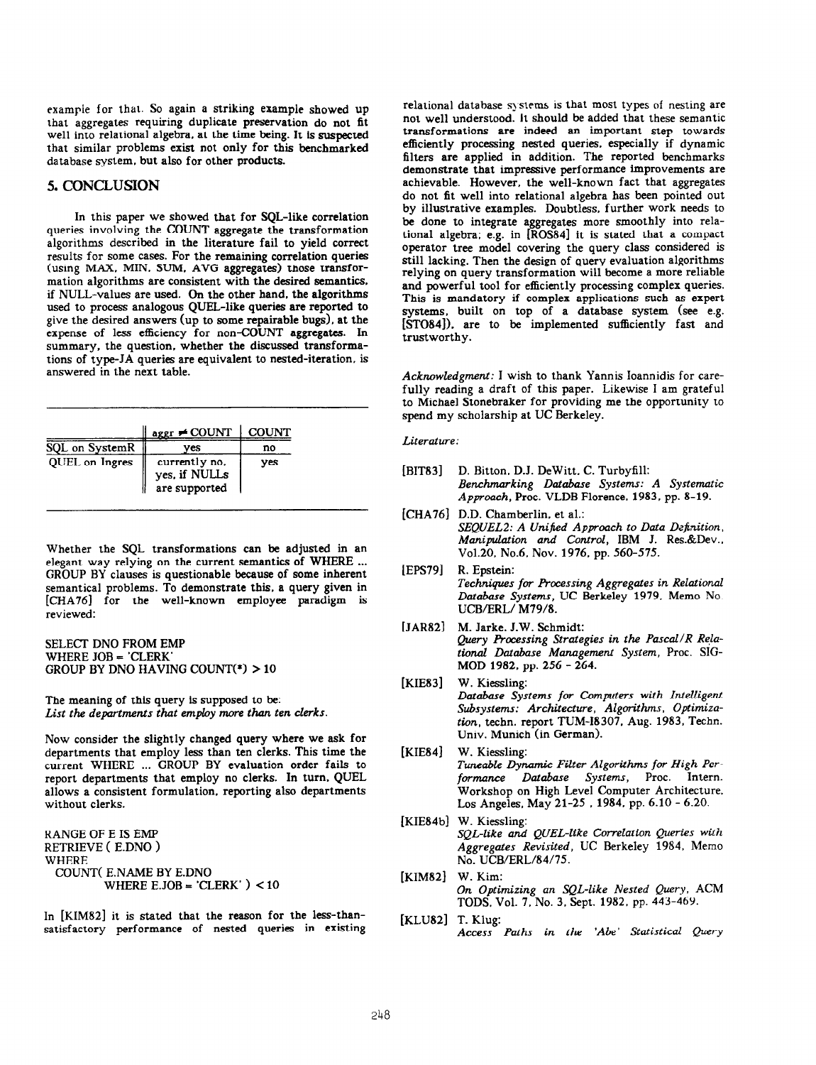example for that. So again a striking example showed up that aggregates requiring duplicate preservation do not fit well into relational algebra. at the time being. It is suspected that similar problems exist not only for this benchmarked database system. but also for other products.

# 5. CONCLUSION

In this paper we showed that for SQL-like correlation queries involving the COUNT aggregate the transformation algorithms described in the literature fail to yield correct results for some cases. For the remaining correlation queries (using MAX. MIN. SUM. AVG aggregates) those transformation algorithms are consistent with the desired semantics. if NULL-values are used. On the other hand, the algorithms used to process analogous QUEL-like queries are reported to give the desired answers (up to some repairable bugs), at the expense of less efficiency for non-COUNT aggregates. In summary, the question. whether the discussed transformations of type-JA queries are equivalent to nested-iteration, is answered in the next table.

|                | $aggr \neq COUNT$   COUNT                       |     |
|----------------|-------------------------------------------------|-----|
| SQL on SystemR | ves                                             | no  |
| QUEL on Ingres | currently no.<br>yes, if NULLs<br>are supported | ves |

Whether the SQL transformations can be adjusted in an elegant way relying on the current semantics of WHERE ... GROUP BY clauses is questionable because of some inherent semantical problems. To demonstrate this, a query given in [CHA76] for the well-known employee paradigm is reviewed:

SELECT DNO FROM EMP WHERE JOB = 'CLERK' GROUP BY DNO HAVING COUNT(\*) > 10

The meaning of this query is supposed to be: List the departments that employ more than ten clerks.

Now consider the slightly changed query where we ask for departments that employ less than ten clerks. This time the current WHERE ... GROUP BY evaluation order fails to report departments that employ no clerks. In turn. QUEL allows a consistent formulation. reporting also departments without clerks.

RANGE OF E IS EMP RETRIEVE ( E.DNO > WHERE COUNT( E.NAME BY E.DNO WHERE E.JOB =  $CLERK'$   $>$  < 10

In [KIM82] it is stated that the reason for the less-thansatisfactory performance of nested queries in existing relational database systems is that most types of nesting are not well understood. it should be added that these semantic transformations are indeed an important step towards efficiently processing nested queries. especially if dynamic filters are applied in addition. The reported benchmarks demonstrate that impressive performance improvements are achievable. However, the well-known fact that aggregates do not fit well into relational algebra has been pointed out by illustrative examples. Doubtless, further work needs to be done to integrate aggregates more smoothly into relational algebra: e.g. in [ROS84] it is stated that a compact operator tree model covering the query class considered is still lacking. Then the design of query evaluation algorithms relying on query transformation will become a more reliable and powerful tool for efficiently processing complex queries. This is mandatory if complex applications such as expert systems, built on top of a database system (see e.g. [STO84]). are to be implemented sufficiently fast and trustworthy.

Acknowledgment: I wish to thank Yannis Ioannidis for carefully reading a draft of this paper. Likewise I am grateful to Michael Stonebraker for providing me the opportunity to spend my scholarship at UC Berkeley.

#### Literature:

- [BIT83] D. Bitton, D.J. DeWitt, C. Turbyfil Benchmarking Database Systems: A Systematic Approach, Proc. VLDB Florence. 1983, pp. 8-19.
- [CHA76] D.D. Chamberlin. et al.: SEQUEL2: A Unified Approach to Data Definition, Manipulation and Control, IBM J. Res.&Dev.. Vo1.20. No.6. Nov. 1976. pp. 560-575.
- [EPS79] R. Epstein: Techniques for Processing Aggregates in Relational Database Systems, UC Berkeley 1979, Memo No. UCB/ERL/ M79/8.
- [JAR82] M. Jarke. J.W. Schmidt Query Processing Strategies in the Pascal/R Relational Database Managemeni System, Proc. SIG-MOD 1982, pp. 256 - 264.
- [KIE83] W. Kiessling: Database Systems for Computers with Intelligent Subsystems: Architecture, Algorithms, Optimization, techn. report TUM-18307. Aug. 1983. Techn. Univ. Munich (in German).
- [KIE84] W. Kiessling: Tuneable Dynamic Filter Algorithms for High Performance Database Systems, Proc. Intern. Workshop on High Level Computer Architecture. Los Angeles. May 21-25 , 1984. pp. 6.10 - 6.20.
- [KIE84b] W. Kiesslin SQL-like and QUEL-like Correlation Queries with Aggregates Revisited, UC Berkeley 1984. Memo No. UCB/ERL/84/75.
- [KIM821 W. Kim: On Optimizing an SQL-like Nested Query, ACM TODS. Vol. 7, No. 3. Sept. 1982, pp. 443-469.
- [KLU82] T. Klug: Access Paths in the 'Abe' Statistical Query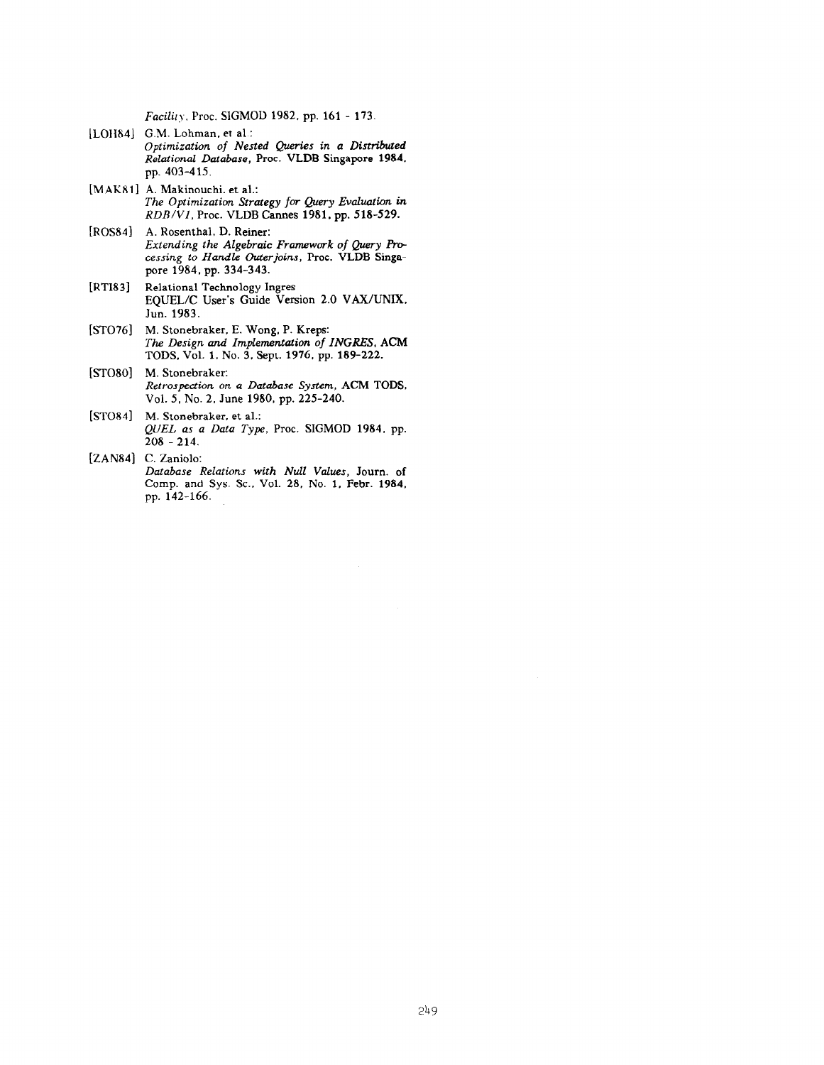Facility. Proc. SIGMOD 1982, pp. 161 - 173.

- [LOHS4] G.M. Lohman. et al.: Optimization of Nested Quries in a Distributed Relational Database, Proc. VLDB Singapore 1984. pp. 403-4 15.
- [MAKBl] A. Makinouchi. et al.: The Optimization Strategy for Query Evaluation in  $RDB/V1$ , Proc. VLDB Cannes 1981, pp. 518-529.
- [ROS84] A. Rosenthal. D. Reiner: Extending the Algebraic Framework of Query Processing to Handle Outerjoins, Proc. VLDB Singapore 1984. pp. 334-343.
- $[RTI83]$ Relational Technology Ingres EQUEL/C User's Guide Version 2.0 VAX/UNIX. Jun. 1983.
- [STOIC] M. Stonebraker. E. Wong. P. Kreps: The Design and Implementation of INGRES, ACM TODS. Vol. 1. No. 3. Sept. 1976. pp. 189-222.
- [STO80] M. Stonebraker: Retrospection on a Database System, ACM TODS. Vol. 5. No. 2. June 1980. pp. 225-240.
- $[STO84]$ M. Stonebraker. et al.: QUEL as a Data Type, Proc. SIGMOD 1984. pp.  $208 - 214$ .
- [ZAN84] C. Zaniolo: Database Relations with Null Values, Journ. of Comp. and Sys. SC.. Vol. 28. No. 1. Febr. 1984. pp. 142-166.